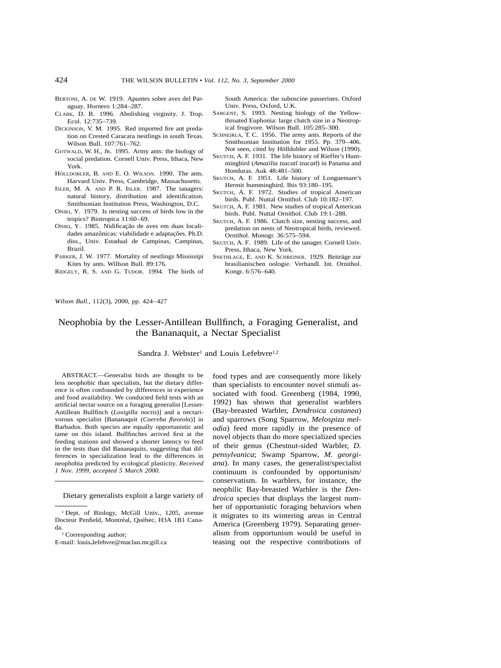- BERTONI, A. DE W. 1919. Apuntes sobre aves del Paraguay. Hornero 1:284–287.
- CLARK, D. B. 1996. Abolishing virginity. J. Trop. Ecol. 12:735–739.
- DICKINSON, V. M. 1995. Red imported fire ant predation on Crested Caracara nestlings in south Texas. Wilson Bull. 107:761–762.
- GOTWALD, W. H., JR. 1995. Army ants: the biology of social predation. Cornell Univ. Press, Ithaca, New York.
- HÖLLDOBLER, B. AND E. O. WILSON. 1990. The ants. Harvard Univ. Press, Cambridge, Massachusetts.
- ISLER, M. A. AND P. R. ISLER. 1987. The tanagers: natural history, distribution and identification. Smithsonian Institution Press, Washington, D.C.
- ONIKI, Y. 1979. Is nesting success of birds low in the tropics? Biotropica 11:60–69.
- ONIKI, Y. 1985. Nidificação de aves em duas localidades amazônicas: viabilidade e adaptações. Ph.D. diss., Univ. Estadual de Campinas, Campinas, Brazil.
- PARKER, J. W. 1977. Mortality of nestlings Mississipi Kites by ants. Willson Bull. 89:176.
- RIDGELY, R. S. AND G. TUDOR. 1994. The birds of

South America: the suboscine passerines. Oxford Univ. Press, Oxford, U.K.

- SARGENT, S. 1993. Nesting biology of the Yellowthroated Euphonia: large clutch size in a Neotropical frugivore. Wilson Bull. 105:285–300.
- SCHNEIRLA, T. C. 1956. The army ants. Reports of the Smithsonian Institution for 1955. Pp. 379–406. Not seen, cited by Hölldobler and Wilson (1990).
- SKUTCH, A. F. 1931. The life history of Rieffer's Hummingbird (*Amazilia tzacatl tzacatl*) in Panama and Honduras. Auk 48:481–500.
- SKUTCH, A. F. 1951. Life history of Longuemare's Hermit hummingbird. Ibis 93:180–195.
- SKUTCH, A. F. 1972. Studies of tropical American birds. Publ. Nuttal Ornithol. Club 10:182–197.
- SKUTCH, A. F. 1981. New studies of tropical American birds. Publ. Nuttal Ornithol. Club 19:1–288.
- SKUTCH, A. F. 1986. Clutch size, nesting success, and predation on nests of Neotropical birds, reviewed. Ornithol. Monogr. 36:575–594.
- SKUTCH, A. F. 1989. Life of the tanager. Cornell Univ. Press, Ithaca, New York.
- SNETHLAGE, E. AND K. SCHREINER. 1929. Beiträge zur brasilianischen oologie. Verhandl. Int. Ornithol. Kongr. 6:576–640.

*Wilson Bull.,* 112(3), 2000, pp. 424–427

# Neophobia by the Lesser-Antillean Bullfinch, a Foraging Generalist, and the Bananaquit, a Nectar Specialist

## Sandra J. Webster<sup>1</sup> and Louis Lefebvre<sup>1,2</sup>

ABSTRACT.—Generalist birds are thought to be less neophobic than specialists, but the dietary difference is often confounded by differences in experience and food availability. We conducted field tests with an artificial nectar source on a foraging generalist [Lesser-Antillean Bullfinch (*Loxigilla noctis*)] and a nectarivorous specialist [Bananaquit (*Coereba flaveola*)] in Barbados. Both species are equally opportunistic and tame on this island. Bullfinches arrived first at the feeding stations and showed a shorter latency to feed in the tests than did Bananaquits, suggesting that differences in specialization lead to the differences in neophobia predicted by ecological plasticity. *Received 1 Nov. 1999, accepted 5 March 2000.*

Dietary generalists exploit a large variety of

E-mail: louis-lefebvre@maclan.mcgill.ca

food types and are consequently more likely than specialists to encounter novel stimuli associated with food. Greenberg (1984, 1990, 1992) has shown that generalist warblers (Bay-breasted Warbler, *Dendroica castanea*) and sparrows (Song Sparrow, *Melospiza melodia*) feed more rapidly in the presence of novel objects than do more specialized species of their genus (Chestnut-sided Warbler, *D. pensylvanica*; Swamp Sparrow, *M. georgiana*). In many cases, the generalist/specialist continuum is confounded by opportunism/ conservatism. In warblers, for instance, the neophilic Bay-breasted Warbler is the *Dendroica* species that displays the largest number of opportunistic foraging behaviors when it migrates to its wintering areas in Central America (Greenberg 1979). Separating generalism from opportunism would be useful in teasing out the respective contributions of

<sup>&</sup>lt;sup>1</sup> Dept. of Biology, McGill Univ., 1205, avenue Docteur Penfield, Montréal, Québec, H3A 1B1 Canada.<br> $\frac{2}{3}$  Corresponding author;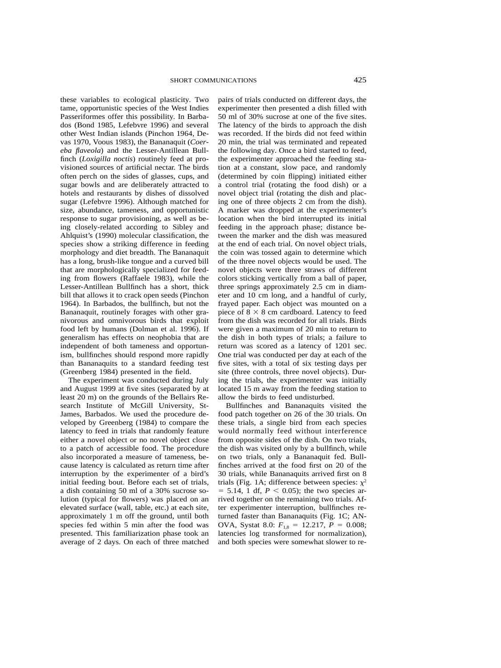these variables to ecological plasticity. Two tame, opportunistic species of the West Indies Passeriformes offer this possibility. In Barbados (Bond 1985, Lefebvre 1996) and several other West Indian islands (Pinchon 1964, Devas 1970, Voous 1983), the Bananaquit (*Coereba flaveola*) and the Lesser-Antillean Bullfinch (*Loxigilla noctis*) routinely feed at provisioned sources of artificial nectar. The birds often perch on the sides of glasses, cups, and sugar bowls and are deliberately attracted to hotels and restaurants by dishes of dissolved sugar (Lefebvre 1996). Although matched for size, abundance, tameness, and opportunistic response to sugar provisioning, as well as being closely-related according to Sibley and Ahlquist's (1990) molecular classification, the species show a striking difference in feeding morphology and diet breadth. The Bananaquit has a long, brush-like tongue and a curved bill that are morphologically specialized for feeding from flowers (Raffaele 1983), while the Lesser-Antillean Bullfinch has a short, thick bill that allows it to crack open seeds (Pinchon 1964). In Barbados, the bullfinch, but not the Bananaquit, routinely forages with other granivorous and omnivorous birds that exploit food left by humans (Dolman et al. 1996). If generalism has effects on neophobia that are independent of both tameness and opportunism, bullfinches should respond more rapidly than Bananaquits to a standard feeding test (Greenberg 1984) presented in the field.

The experiment was conducted during July and August 1999 at five sites (separated by at least 20 m) on the grounds of the Bellairs Research Institute of McGill University, St-James, Barbados. We used the procedure developed by Greenberg (1984) to compare the latency to feed in trials that randomly feature either a novel object or no novel object close to a patch of accessible food. The procedure also incorporated a measure of tameness, because latency is calculated as return time after interruption by the experimenter of a bird's initial feeding bout. Before each set of trials, a dish containing 50 ml of a 30% sucrose solution (typical for flowers) was placed on an elevated surface (wall, table, etc.) at each site, approximately 1 m off the ground, until both species fed within 5 min after the food was presented. This familiarization phase took an average of 2 days. On each of three matched pairs of trials conducted on different days, the experimenter then presented a dish filled with 50 ml of 30% sucrose at one of the five sites. The latency of the birds to approach the dish was recorded. If the birds did not feed within 20 min, the trial was terminated and repeated the following day. Once a bird started to feed, the experimenter approached the feeding station at a constant, slow pace, and randomly (determined by coin flipping) initiated either a control trial (rotating the food dish) or a novel object trial (rotating the dish and placing one of three objects 2 cm from the dish). A marker was dropped at the experimenter's location when the bird interrupted its initial feeding in the approach phase; distance between the marker and the dish was measured at the end of each trial. On novel object trials, the coin was tossed again to determine which of the three novel objects would be used. The novel objects were three straws of different colors sticking vertically from a ball of paper, three springs approximately 2.5 cm in diameter and 10 cm long, and a handful of curly, frayed paper. Each object was mounted on a piece of  $8 \times 8$  cm cardboard. Latency to feed from the dish was recorded for all trials. Birds were given a maximum of 20 min to return to the dish in both types of trials; a failure to return was scored as a latency of 1201 sec. One trial was conducted per day at each of the five sites, with a total of six testing days per site (three controls, three novel objects). During the trials, the experimenter was initially located 15 m away from the feeding station to allow the birds to feed undisturbed.

Bullfinches and Bananaquits visited the food patch together on 26 of the 30 trials. On these trials, a single bird from each species would normally feed without interference from opposite sides of the dish. On two trials, the dish was visited only by a bullfinch, while on two trials, only a Bananaquit fed. Bullfinches arrived at the food first on 20 of the 30 trials, while Bananaquits arrived first on 8 trials (Fig. 1A; difference between species:  $\chi^2$  $= 5.14, 1$  df,  $P < 0.05$ ); the two species arrived together on the remaining two trials. After experimenter interruption, bullfinches returned faster than Bananaquits (Fig. 1C; AN-OVA, Systat 8.0:  $F_{1,8} = 12.217$ ,  $P = 0.008$ ; latencies log transformed for normalization), and both species were somewhat slower to re-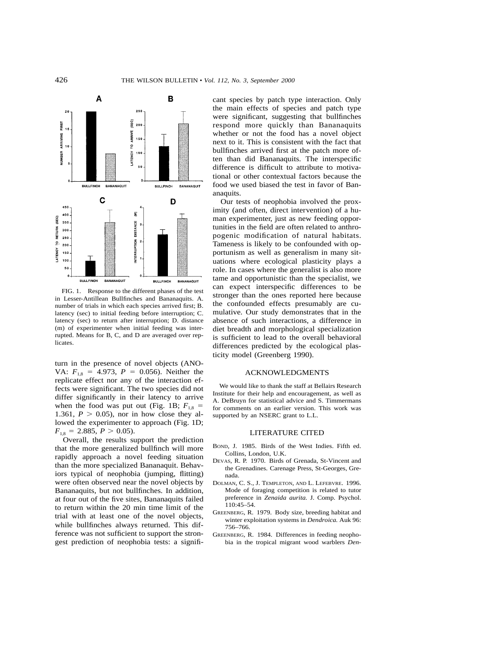

FIG. 1. Response to the different phases of the test in Lesser-Antillean Bullfinches and Bananaquits. A. number of trials in which each species arrived first; B. latency (sec) to initial feeding before interruption; C. latency (sec) to return after interruption; D. distance (m) of experimenter when initial feeding was interrupted. Means for B, C, and D are averaged over replicates.

turn in the presence of novel objects (ANO-VA:  $F_{1,8} = 4.973$ ,  $P = 0.056$ ). Neither the replicate effect nor any of the interaction effects were significant. The two species did not differ significantly in their latency to arrive when the food was put out (Fig. 1B;  $F_{1,8}$  = 1.361,  $P > 0.05$ ), nor in how close they allowed the experimenter to approach (Fig. 1D;  $F_{1,8} = 2.885, P > 0.05$ .

Overall, the results support the prediction that the more generalized bullfinch will more rapidly approach a novel feeding situation than the more specialized Bananaquit. Behaviors typical of neophobia (jumping, flitting) were often observed near the novel objects by Bananaquits, but not bullfinches. In addition, at four out of the five sites, Bananaquits failed to return within the 20 min time limit of the trial with at least one of the novel objects, while bullfinches always returned. This difference was not sufficient to support the strongest prediction of neophobia tests: a significant species by patch type interaction. Only the main effects of species and patch type were significant, suggesting that bullfinches respond more quickly than Bananaquits whether or not the food has a novel object next to it. This is consistent with the fact that bullfinches arrived first at the patch more often than did Bananaquits. The interspecific difference is difficult to attribute to motivational or other contextual factors because the food we used biased the test in favor of Bananaquits.

Our tests of neophobia involved the proximity (and often, direct intervention) of a human experimenter, just as new feeding opportunities in the field are often related to anthropogenic modification of natural habitats. Tameness is likely to be confounded with opportunism as well as generalism in many situations where ecological plasticity plays a role. In cases where the generalist is also more tame and opportunistic than the specialist, we can expect interspecific differences to be stronger than the ones reported here because the confounded effects presumably are cumulative. Our study demonstrates that in the absence of such interactions, a difference in diet breadth and morphological specialization is sufficient to lead to the overall behavioral differences predicted by the ecological plasticity model (Greenberg 1990).

### ACKNOWLEDGMENTS

We would like to thank the staff at Bellairs Research Institute for their help and encouragement, as well as A. DeBruyn for statistical advice and S. Timmermans for comments on an earlier version. This work was supported by an NSERC grant to L.L.

#### LITERATURE CITED

- BOND, J. 1985. Birds of the West Indies. Fifth ed. Collins, London, U.K.
- DEVAS, R. P. 1970. Birds of Grenada, St-Vincent and the Grenadines. Carenage Press, St-Georges, Grenada.
- DOLMAN, C. S., J. TEMPLETON, AND L. LEFEBVRE. 1996. Mode of foraging competition is related to tutor preference in *Zenaida aurita.* J. Comp. Psychol. 110:45–54.
- GREENBERG, R. 1979. Body size, breeding habitat and winter exploitation systems in *Dendroica.* Auk 96: 756–766.
- GREENBERG, R. 1984. Differences in feeding neophobia in the tropical migrant wood warblers *Den-*